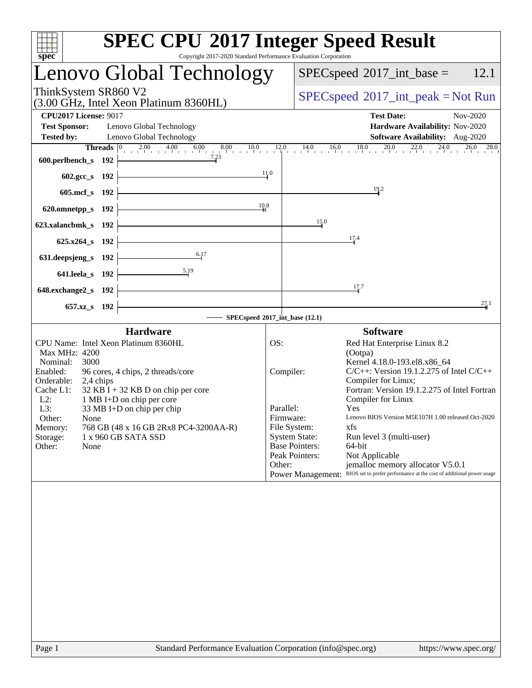| spec <sup>®</sup>                                                                                                                                                                                                                                                                                                                                                                                                                    | <b>SPEC CPU®2017 Integer Speed Result</b><br>Copyright 2017-2020 Standard Performance Evaluation Corporation                                                                                                                                                                                                                                                                                                                                                                                                                                                                                                                                  |
|--------------------------------------------------------------------------------------------------------------------------------------------------------------------------------------------------------------------------------------------------------------------------------------------------------------------------------------------------------------------------------------------------------------------------------------|-----------------------------------------------------------------------------------------------------------------------------------------------------------------------------------------------------------------------------------------------------------------------------------------------------------------------------------------------------------------------------------------------------------------------------------------------------------------------------------------------------------------------------------------------------------------------------------------------------------------------------------------------|
| Lenovo Global Technology                                                                                                                                                                                                                                                                                                                                                                                                             | 12.1<br>$SPEC speed^{\circ}2017\_int\_base =$                                                                                                                                                                                                                                                                                                                                                                                                                                                                                                                                                                                                 |
| ThinkSystem SR860 V2<br>(3.00 GHz, Intel Xeon Platinum 8360HL)                                                                                                                                                                                                                                                                                                                                                                       | $SPEC speed^{\circ}2017\_int\_peak = Not Run$                                                                                                                                                                                                                                                                                                                                                                                                                                                                                                                                                                                                 |
| <b>CPU2017 License: 9017</b><br><b>Test Sponsor:</b><br>Lenovo Global Technology<br><b>Tested by:</b><br>Lenovo Global Technology                                                                                                                                                                                                                                                                                                    | <b>Test Date:</b><br>Nov-2020<br>Hardware Availability: Nov-2020<br>Software Availability: Aug-2020                                                                                                                                                                                                                                                                                                                                                                                                                                                                                                                                           |
| 7.23<br>600.perlbench_s 192                                                                                                                                                                                                                                                                                                                                                                                                          | <b>Threads</b> $\begin{bmatrix} 0 & 2.00 & 4.00 & 6.00 & 8.00 & 10.0 & 12.0 & 14.0 & 16.0 & 18.0 & 20.0 & 22.0 & 24.0 & 26.0 & 28.0 & 24.0 & 24.0 & 24.0 & 24.0 & 24.0 & 24.0 & 24.0 & 24.0 & 24.0 & 24.0 & 24.0 & 24.0 & 24.0 & 24.0 & 24.0 & 24.0 & 24.0 & 24.0 & 24.0 & 24$                                                                                                                                                                                                                                                                                                                                                                |
| 602.gcc_s 192                                                                                                                                                                                                                                                                                                                                                                                                                        | 11.0<br>19.2                                                                                                                                                                                                                                                                                                                                                                                                                                                                                                                                                                                                                                  |
| 605.mcf_s 192<br>620.omnetpp_s 192                                                                                                                                                                                                                                                                                                                                                                                                   | 10.8                                                                                                                                                                                                                                                                                                                                                                                                                                                                                                                                                                                                                                          |
| 623.xalancbmk_s 192                                                                                                                                                                                                                                                                                                                                                                                                                  | 15.0                                                                                                                                                                                                                                                                                                                                                                                                                                                                                                                                                                                                                                          |
| 625.x264_s 192<br>6.17                                                                                                                                                                                                                                                                                                                                                                                                               | 17.4                                                                                                                                                                                                                                                                                                                                                                                                                                                                                                                                                                                                                                          |
| 631.deepsjeng_s 192<br>5.19<br>641.leela_s 192                                                                                                                                                                                                                                                                                                                                                                                       |                                                                                                                                                                                                                                                                                                                                                                                                                                                                                                                                                                                                                                               |
| 648.exchange2_s 192                                                                                                                                                                                                                                                                                                                                                                                                                  | 17.7<br>27.1                                                                                                                                                                                                                                                                                                                                                                                                                                                                                                                                                                                                                                  |
| 657.xz_s 192                                                                                                                                                                                                                                                                                                                                                                                                                         | $-$ SPECspeed®2017_int_base $(12.1)$                                                                                                                                                                                                                                                                                                                                                                                                                                                                                                                                                                                                          |
| <b>Hardware</b><br>CPU Name: Intel Xeon Platinum 8360HL<br>Max MHz: 4200<br>Nominal:<br>3000<br>Enabled:<br>96 cores, 4 chips, 2 threads/core<br>Orderable:<br>2,4 chips<br>$32$ KB I + 32 KB D on chip per core<br>Cache L1:<br>$L2$ :<br>1 MB I+D on chip per core<br>L3:<br>33 MB I+D on chip per chip<br>Other:<br>None<br>768 GB (48 x 16 GB 2Rx8 PC4-3200AA-R)<br>Memory:<br>1 x 960 GB SATA SSD<br>Storage:<br>Other:<br>None | <b>Software</b><br>OS:<br>Red Hat Enterprise Linux 8.2<br>(Ootpa)<br>Kernel 4.18.0-193.el8.x86 64<br>$C/C++$ : Version 19.1.2.275 of Intel $C/C++$<br>Compiler:<br>Compiler for Linux;<br>Fortran: Version 19.1.2.275 of Intel Fortran<br>Compiler for Linux<br>Parallel:<br>Yes<br>Lenovo BIOS Version M5E107H 1.00 released Oct-2020<br>Firmware:<br>File System:<br>xfs<br><b>System State:</b><br>Run level 3 (multi-user)<br><b>Base Pointers:</b><br>64-bit<br>Peak Pointers:<br>Not Applicable<br>Other:<br>jemalloc memory allocator V5.0.1<br>Power Management: BIOS set to prefer performance at the cost of additional power usage |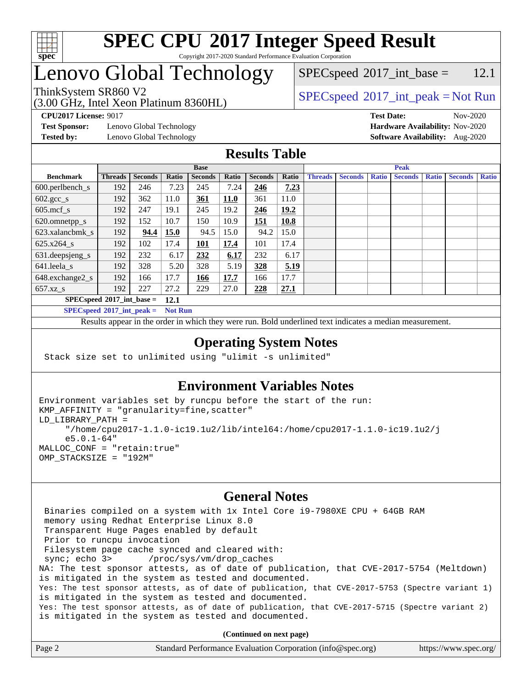

## Lenovo Global Technology

(3.00 GHz, Intel Xeon Platinum 8360HL)

 $SPECspeed^{\circ}2017\_int\_base =$  $SPECspeed^{\circ}2017\_int\_base =$  12.1

### ThinkSystem SR860 V2  $\begin{array}{c} \text{SPEC speed} \textdegree 2017\_int\_peak = Not Run \end{array}$

**[Test Sponsor:](http://www.spec.org/auto/cpu2017/Docs/result-fields.html#TestSponsor)** Lenovo Global Technology **[Hardware Availability:](http://www.spec.org/auto/cpu2017/Docs/result-fields.html#HardwareAvailability)** Nov-2020

**[CPU2017 License:](http://www.spec.org/auto/cpu2017/Docs/result-fields.html#CPU2017License)** 9017 **[Test Date:](http://www.spec.org/auto/cpu2017/Docs/result-fields.html#TestDate)** Nov-2020 **[Tested by:](http://www.spec.org/auto/cpu2017/Docs/result-fields.html#Testedby)** Lenovo Global Technology **[Software Availability:](http://www.spec.org/auto/cpu2017/Docs/result-fields.html#SoftwareAvailability)** Aug-2020

#### **[Results Table](http://www.spec.org/auto/cpu2017/Docs/result-fields.html#ResultsTable)**

|                                     | <b>Base</b>    |                |       |                |       |                | <b>Peak</b> |                |                |              |                |              |                |              |
|-------------------------------------|----------------|----------------|-------|----------------|-------|----------------|-------------|----------------|----------------|--------------|----------------|--------------|----------------|--------------|
| <b>Benchmark</b>                    | <b>Threads</b> | <b>Seconds</b> | Ratio | <b>Seconds</b> | Ratio | <b>Seconds</b> | Ratio       | <b>Threads</b> | <b>Seconds</b> | <b>Ratio</b> | <b>Seconds</b> | <b>Ratio</b> | <b>Seconds</b> | <b>Ratio</b> |
| $600.$ perlbench_s                  | 192            | 246            | 7.23  | 245            | 7.24  | <u>246</u>     | 7.23        |                |                |              |                |              |                |              |
| $602.\text{gcc}\_\text{s}$          | 192            | 362            | 11.0  | 361            | 11.0  | 361            | 11.0        |                |                |              |                |              |                |              |
| $605$ .mcf s                        | 192            | 247            | 19.1  | 245            | 19.2  | 246            | 19.2        |                |                |              |                |              |                |              |
| 620.omnetpp_s                       | 192            | 152            | 10.7  | 150            | 10.9  | <u> 151</u>    | 10.8        |                |                |              |                |              |                |              |
| 623.xalancbmk s                     | 192            | 94.4           | 15.0  | 94.5           | 15.0  | 94.2           | 15.0        |                |                |              |                |              |                |              |
| $625.x264$ s                        | 192            | 102            | 17.4  | 101            | 17.4  | 101            | 17.4        |                |                |              |                |              |                |              |
| 631.deepsjeng_s                     | 192            | 232            | 6.17  | 232            | 6.17  | 232            | 6.17        |                |                |              |                |              |                |              |
| 641.leela s                         | 192            | 328            | 5.20  | 328            | 5.19  | 328            | 5.19        |                |                |              |                |              |                |              |
| 648.exchange2_s                     | 192            | 166            | 17.7  | 166            | 17.7  | 166            | 17.7        |                |                |              |                |              |                |              |
| $657.xz$ s                          | 192            | 227            | 27.2  | 229            | 27.0  | 228            | 27.1        |                |                |              |                |              |                |              |
| $SPECspeed*2017$ int base =<br>12.1 |                |                |       |                |       |                |             |                |                |              |                |              |                |              |

**[SPECspeed](http://www.spec.org/auto/cpu2017/Docs/result-fields.html#SPECspeed2017intpeak)[2017\\_int\\_peak =](http://www.spec.org/auto/cpu2017/Docs/result-fields.html#SPECspeed2017intpeak) Not Run**

Results appear in the [order in which they were run.](http://www.spec.org/auto/cpu2017/Docs/result-fields.html#RunOrder) Bold underlined text [indicates a median measurement.](http://www.spec.org/auto/cpu2017/Docs/result-fields.html#Median)

#### **[Operating System Notes](http://www.spec.org/auto/cpu2017/Docs/result-fields.html#OperatingSystemNotes)**

Stack size set to unlimited using "ulimit -s unlimited"

### **[Environment Variables Notes](http://www.spec.org/auto/cpu2017/Docs/result-fields.html#EnvironmentVariablesNotes)**

```
Environment variables set by runcpu before the start of the run:
KMP_AFFINITY = "granularity=fine,scatter"
LD_LIBRARY_PATH =
      "/home/cpu2017-1.1.0-ic19.1u2/lib/intel64:/home/cpu2017-1.1.0-ic19.1u2/j
      e5.0.1-64"
MALLOC_CONF = "retain:true"
OMP_STACKSIZE = "192M"
```
#### **[General Notes](http://www.spec.org/auto/cpu2017/Docs/result-fields.html#GeneralNotes)**

 Binaries compiled on a system with 1x Intel Core i9-7980XE CPU + 64GB RAM memory using Redhat Enterprise Linux 8.0 Transparent Huge Pages enabled by default Prior to runcpu invocation Filesystem page cache synced and cleared with: sync; echo 3> /proc/sys/vm/drop\_caches NA: The test sponsor attests, as of date of publication, that CVE-2017-5754 (Meltdown) is mitigated in the system as tested and documented. Yes: The test sponsor attests, as of date of publication, that CVE-2017-5753 (Spectre variant 1) is mitigated in the system as tested and documented. Yes: The test sponsor attests, as of date of publication, that CVE-2017-5715 (Spectre variant 2) is mitigated in the system as tested and documented.

**(Continued on next page)**

| Page 2 | Standard Performance Evaluation Corporation (info@spec.org) | https://www.spec.org/ |
|--------|-------------------------------------------------------------|-----------------------|
|--------|-------------------------------------------------------------|-----------------------|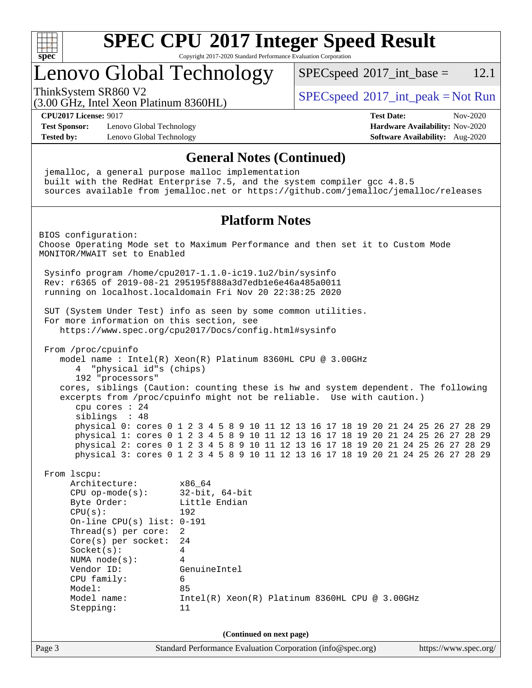

### Lenovo Global Technology

 $SPECspeed^{\circ}2017\_int\_base = 12.1$  $SPECspeed^{\circ}2017\_int\_base = 12.1$ 

(3.00 GHz, Intel Xeon Platinum 8360HL)

ThinkSystem SR860 V2  $\begin{array}{c} \text{SPEC speed} \textdegree 2017\_int\_peak = Not Run \end{array}$ 

**[CPU2017 License:](http://www.spec.org/auto/cpu2017/Docs/result-fields.html#CPU2017License)** 9017 **[Test Date:](http://www.spec.org/auto/cpu2017/Docs/result-fields.html#TestDate)** Nov-2020

**[Test Sponsor:](http://www.spec.org/auto/cpu2017/Docs/result-fields.html#TestSponsor)** Lenovo Global Technology **[Hardware Availability:](http://www.spec.org/auto/cpu2017/Docs/result-fields.html#HardwareAvailability)** Nov-2020 **[Tested by:](http://www.spec.org/auto/cpu2017/Docs/result-fields.html#Testedby)** Lenovo Global Technology **[Software Availability:](http://www.spec.org/auto/cpu2017/Docs/result-fields.html#SoftwareAvailability)** Aug-2020

Page 3 Standard Performance Evaluation Corporation [\(info@spec.org\)](mailto:info@spec.org) <https://www.spec.org/> **[General Notes \(Continued\)](http://www.spec.org/auto/cpu2017/Docs/result-fields.html#GeneralNotes)** jemalloc, a general purpose malloc implementation built with the RedHat Enterprise 7.5, and the system compiler gcc 4.8.5 sources available from jemalloc.net or <https://github.com/jemalloc/jemalloc/releases> **[Platform Notes](http://www.spec.org/auto/cpu2017/Docs/result-fields.html#PlatformNotes)** BIOS configuration: Choose Operating Mode set to Maximum Performance and then set it to Custom Mode MONITOR/MWAIT set to Enabled Sysinfo program /home/cpu2017-1.1.0-ic19.1u2/bin/sysinfo Rev: r6365 of 2019-08-21 295195f888a3d7edb1e6e46a485a0011 running on localhost.localdomain Fri Nov 20 22:38:25 2020 SUT (System Under Test) info as seen by some common utilities. For more information on this section, see <https://www.spec.org/cpu2017/Docs/config.html#sysinfo> From /proc/cpuinfo model name : Intel(R) Xeon(R) Platinum 8360HL CPU @ 3.00GHz 4 "physical id"s (chips) 192 "processors" cores, siblings (Caution: counting these is hw and system dependent. The following excerpts from /proc/cpuinfo might not be reliable. Use with caution.) cpu cores : 24 siblings : 48 physical 0: cores 0 1 2 3 4 5 8 9 10 11 12 13 16 17 18 19 20 21 24 25 26 27 28 29 physical 1: cores 0 1 2 3 4 5 8 9 10 11 12 13 16 17 18 19 20 21 24 25 26 27 28 29 physical 2: cores 0 1 2 3 4 5 8 9 10 11 12 13 16 17 18 19 20 21 24 25 26 27 28 29 physical 3: cores 0 1 2 3 4 5 8 9 10 11 12 13 16 17 18 19 20 21 24 25 26 27 28 29 From lscpu: Architecture: x86\_64 CPU op-mode(s): 32-bit, 64-bit Byte Order: Little Endian CPU(s): 192 On-line CPU(s) list: 0-191 Thread(s) per core: 2 Core(s) per socket: 24 Socket(s): 4 NUMA node(s): 4 Vendor ID: GenuineIntel CPU family: 6 Model: 85 Model name: Intel(R) Xeon(R) Platinum 8360HL CPU @ 3.00GHz Stepping: 11 **(Continued on next page)**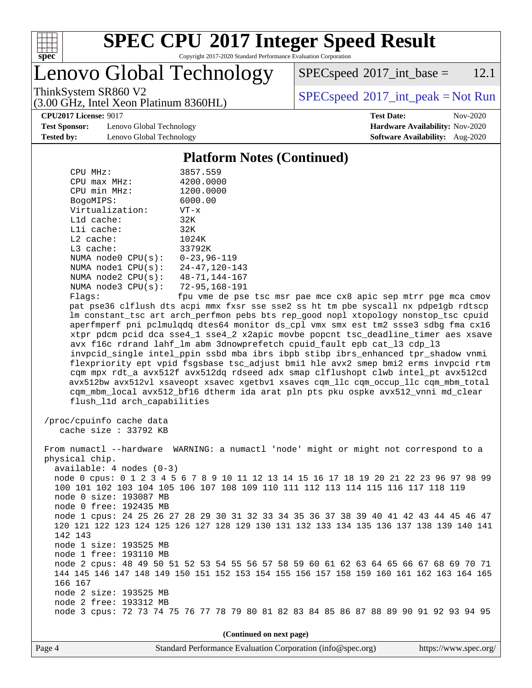

# **[SPEC CPU](http://www.spec.org/auto/cpu2017/Docs/result-fields.html#SPECCPU2017IntegerSpeedResult)[2017 Integer Speed Result](http://www.spec.org/auto/cpu2017/Docs/result-fields.html#SPECCPU2017IntegerSpeedResult)**

Copyright 2017-2020 Standard Performance Evaluation Corporation

Lenovo Global Technology

(3.00 GHz, Intel Xeon Platinum 8360HL)

 $SPEC speed^{\circ}2017\_int\_base = 12.1$ 

ThinkSystem SR860 V2  $\begin{array}{c} \text{SPEC speed} \textdegree 2017\_int\_peak = Not Run \end{array}$ 

**[Test Sponsor:](http://www.spec.org/auto/cpu2017/Docs/result-fields.html#TestSponsor)** Lenovo Global Technology **[Hardware Availability:](http://www.spec.org/auto/cpu2017/Docs/result-fields.html#HardwareAvailability)** Nov-2020 **[Tested by:](http://www.spec.org/auto/cpu2017/Docs/result-fields.html#Testedby)** Lenovo Global Technology **[Software Availability:](http://www.spec.org/auto/cpu2017/Docs/result-fields.html#SoftwareAvailability)** Aug-2020

**[CPU2017 License:](http://www.spec.org/auto/cpu2017/Docs/result-fields.html#CPU2017License)** 9017 **[Test Date:](http://www.spec.org/auto/cpu2017/Docs/result-fields.html#TestDate)** Nov-2020

#### **[Platform Notes \(Continued\)](http://www.spec.org/auto/cpu2017/Docs/result-fields.html#PlatformNotes)**

| CPU MHz:               | 3857.559             |
|------------------------|----------------------|
| $CPU$ max $MHz$ :      | 4200.0000            |
| CPU min MHz:           | 1200.0000            |
| BogoMIPS:              | 6000.00              |
| Virtualization:        | $VT - x$             |
| L1d cache:             | 32K                  |
| $L1i$ cache:           | 32K                  |
| $L2$ cache:            | 1024K                |
| $L3$ cache:            | 33792K               |
| NUMA node0 CPU(s):     | $0 - 23.96 - 119$    |
| NUMA node1 CPU(s):     | $24 - 47, 120 - 143$ |
| NUMA $node2$ $CPU(s):$ | $48 - 71, 144 - 167$ |
| NUMA node3 CPU(s):     | 72-95,168-191        |
| $F1$ ane:              | fnu vme de nee       |

Flags: fpu vme de pse tsc msr pae mce cx8 apic sep mtrr pge mca cmov pat pse36 clflush dts acpi mmx fxsr sse sse2 ss ht tm pbe syscall nx pdpe1gb rdtscp lm constant\_tsc art arch\_perfmon pebs bts rep\_good nopl xtopology nonstop\_tsc cpuid aperfmperf pni pclmulqdq dtes64 monitor ds\_cpl vmx smx est tm2 ssse3 sdbg fma cx16 xtpr pdcm pcid dca sse4\_1 sse4\_2 x2apic movbe popcnt tsc\_deadline\_timer aes xsave avx f16c rdrand lahf\_lm abm 3dnowprefetch cpuid\_fault epb cat\_l3 cdp\_l3 invpcid\_single intel\_ppin ssbd mba ibrs ibpb stibp ibrs\_enhanced tpr\_shadow vnmi flexpriority ept vpid fsgsbase tsc\_adjust bmi1 hle avx2 smep bmi2 erms invpcid rtm cqm mpx rdt\_a avx512f avx512dq rdseed adx smap clflushopt clwb intel\_pt avx512cd avx512bw avx512vl xsaveopt xsavec xgetbv1 xsaves cqm\_llc cqm\_occup\_llc cqm\_mbm\_total cqm\_mbm\_local avx512\_bf16 dtherm ida arat pln pts pku ospke avx512\_vnni md\_clear flush\_l1d arch\_capabilities

 /proc/cpuinfo cache data cache size : 33792 KB

 From numactl --hardware WARNING: a numactl 'node' might or might not correspond to a physical chip. available: 4 nodes (0-3) node 0 cpus: 0 1 2 3 4 5 6 7 8 9 10 11 12 13 14 15 16 17 18 19 20 21 22 23 96 97 98 99 100 101 102 103 104 105 106 107 108 109 110 111 112 113 114 115 116 117 118 119 node 0 size: 193087 MB node 0 free: 192435 MB node 1 cpus: 24 25 26 27 28 29 30 31 32 33 34 35 36 37 38 39 40 41 42 43 44 45 46 47 120 121 122 123 124 125 126 127 128 129 130 131 132 133 134 135 136 137 138 139 140 141 142 143 node 1 size: 193525 MB node 1 free: 193110 MB node 2 cpus: 48 49 50 51 52 53 54 55 56 57 58 59 60 61 62 63 64 65 66 67 68 69 70 71 144 145 146 147 148 149 150 151 152 153 154 155 156 157 158 159 160 161 162 163 164 165 166 167 node 2 size: 193525 MB node 2 free: 193312 MB node 3 cpus: 72 73 74 75 76 77 78 79 80 81 82 83 84 85 86 87 88 89 90 91 92 93 94 95

**(Continued on next page)**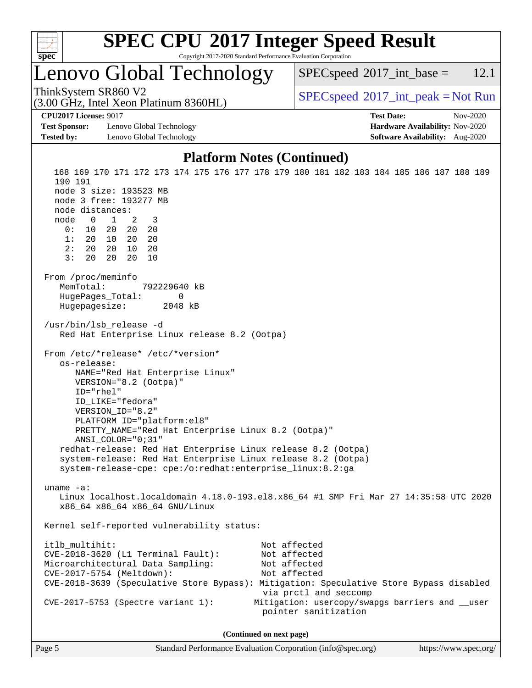

### Lenovo Global Technology

 $SPECspeed^{\circ}2017\_int\_base = 12.1$  $SPECspeed^{\circ}2017\_int\_base = 12.1$ 

(3.00 GHz, Intel Xeon Platinum 8360HL)

ThinkSystem SR860 V2  $\begin{array}{c} \text{SPEC speed} \textdegree 2017\_int\_peak = Not Run \end{array}$ 

**[CPU2017 License:](http://www.spec.org/auto/cpu2017/Docs/result-fields.html#CPU2017License)** 9017 **[Test Date:](http://www.spec.org/auto/cpu2017/Docs/result-fields.html#TestDate)** Nov-2020

**[Test Sponsor:](http://www.spec.org/auto/cpu2017/Docs/result-fields.html#TestSponsor)** Lenovo Global Technology **[Hardware Availability:](http://www.spec.org/auto/cpu2017/Docs/result-fields.html#HardwareAvailability)** Nov-2020 **[Tested by:](http://www.spec.org/auto/cpu2017/Docs/result-fields.html#Testedby)** Lenovo Global Technology **[Software Availability:](http://www.spec.org/auto/cpu2017/Docs/result-fields.html#SoftwareAvailability)** Aug-2020

#### **[Platform Notes \(Continued\)](http://www.spec.org/auto/cpu2017/Docs/result-fields.html#PlatformNotes)**

 168 169 170 171 172 173 174 175 176 177 178 179 180 181 182 183 184 185 186 187 188 189 190 191 node 3 size: 193523 MB node 3 free: 193277 MB node distances: node 0 1 2 3 0: 10 20 20 20 1: 20 10 20 20 2: 20 20 10 20 3: 20 20 20 10 From /proc/meminfo MemTotal: 792229640 kB HugePages\_Total: 0 Hugepagesize: 2048 kB /usr/bin/lsb\_release -d Red Hat Enterprise Linux release 8.2 (Ootpa) From /etc/\*release\* /etc/\*version\* os-release: NAME="Red Hat Enterprise Linux" VERSION="8.2 (Ootpa)" ID="rhel" ID\_LIKE="fedora" VERSION\_ID="8.2" PLATFORM\_ID="platform:el8" PRETTY\_NAME="Red Hat Enterprise Linux 8.2 (Ootpa)" ANSI\_COLOR="0;31" redhat-release: Red Hat Enterprise Linux release 8.2 (Ootpa) system-release: Red Hat Enterprise Linux release 8.2 (Ootpa) system-release-cpe: cpe:/o:redhat:enterprise\_linux:8.2:ga uname -a: Linux localhost.localdomain 4.18.0-193.el8.x86\_64 #1 SMP Fri Mar 27 14:35:58 UTC 2020 x86\_64 x86\_64 x86\_64 GNU/Linux Kernel self-reported vulnerability status: itlb\_multihit: Not affected CVE-2018-3620 (L1 Terminal Fault): Not affected Microarchitectural Data Sampling: Not affected CVE-2017-5754 (Meltdown): Not affected CVE-2018-3639 (Speculative Store Bypass): Mitigation: Speculative Store Bypass disabled via prctl and seccomp CVE-2017-5753 (Spectre variant 1): Mitigation: usercopy/swapgs barriers and \_\_user pointer sanitization **(Continued on next page)**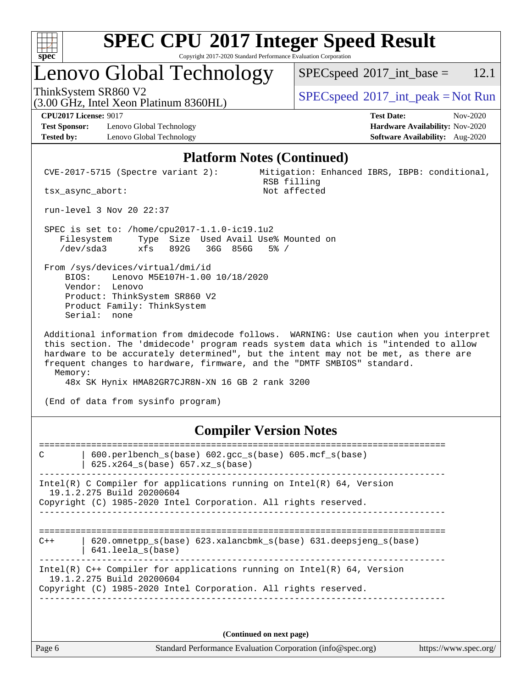

# **[SPEC CPU](http://www.spec.org/auto/cpu2017/Docs/result-fields.html#SPECCPU2017IntegerSpeedResult)[2017 Integer Speed Result](http://www.spec.org/auto/cpu2017/Docs/result-fields.html#SPECCPU2017IntegerSpeedResult)**

Copyright 2017-2020 Standard Performance Evaluation Corporation

### Lenovo Global Technology

 $SPECspeed^{\circ}2017\_int\_base = 12.1$  $SPECspeed^{\circ}2017\_int\_base = 12.1$ 

(3.00 GHz, Intel Xeon Platinum 8360HL)

ThinkSystem SR860 V2  $\begin{array}{c} \text{SPEC speed} \textdegree 2017\_int\_peak = Not Run \end{array}$ 

**[Test Sponsor:](http://www.spec.org/auto/cpu2017/Docs/result-fields.html#TestSponsor)** Lenovo Global Technology **[Hardware Availability:](http://www.spec.org/auto/cpu2017/Docs/result-fields.html#HardwareAvailability)** Nov-2020 **[Tested by:](http://www.spec.org/auto/cpu2017/Docs/result-fields.html#Testedby)** Lenovo Global Technology **[Software Availability:](http://www.spec.org/auto/cpu2017/Docs/result-fields.html#SoftwareAvailability)** Aug-2020

**[CPU2017 License:](http://www.spec.org/auto/cpu2017/Docs/result-fields.html#CPU2017License)** 9017 **[Test Date:](http://www.spec.org/auto/cpu2017/Docs/result-fields.html#TestDate)** Nov-2020

#### **[Platform Notes \(Continued\)](http://www.spec.org/auto/cpu2017/Docs/result-fields.html#PlatformNotes)**

 CVE-2017-5715 (Spectre variant 2): Mitigation: Enhanced IBRS, IBPB: conditional, RSB filling<br>Not affected

tsx\_async\_abort:

run-level 3 Nov 20 22:37

 SPEC is set to: /home/cpu2017-1.1.0-ic19.1u2 Filesystem Type Size Used Avail Use% Mounted on /dev/sda3 xfs 892G 36G 856G 5% /

 From /sys/devices/virtual/dmi/id BIOS: Lenovo M5E107H-1.00 10/18/2020 Vendor: Lenovo Product: ThinkSystem SR860 V2 Product Family: ThinkSystem Serial: none

 Additional information from dmidecode follows. WARNING: Use caution when you interpret this section. The 'dmidecode' program reads system data which is "intended to allow hardware to be accurately determined", but the intent may not be met, as there are frequent changes to hardware, firmware, and the "DMTF SMBIOS" standard. Memory:

48x SK Hynix HMA82GR7CJR8N-XN 16 GB 2 rank 3200

(End of data from sysinfo program)

#### **[Compiler Version Notes](http://www.spec.org/auto/cpu2017/Docs/result-fields.html#CompilerVersionNotes)**

============================================================================== C | 600.perlbench\_s(base) 602.gcc\_s(base) 605.mcf\_s(base) | 625.x264\_s(base) 657.xz\_s(base) ------------------------------------------------------------------------------ Intel(R) C Compiler for applications running on Intel(R)  $64$ , Version 19.1.2.275 Build 20200604 Copyright (C) 1985-2020 Intel Corporation. All rights reserved. ------------------------------------------------------------------------------ ============================================================================== C++ | 620.omnetpp\_s(base) 623.xalancbmk\_s(base) 631.deepsjeng\_s(base) | 641.leela\_s(base) ------------------------------------------------------------------------------ Intel(R) C++ Compiler for applications running on Intel(R) 64, Version 19.1.2.275 Build 20200604 Copyright (C) 1985-2020 Intel Corporation. All rights reserved. ------------------------------------------------------------------------------

**(Continued on next page)**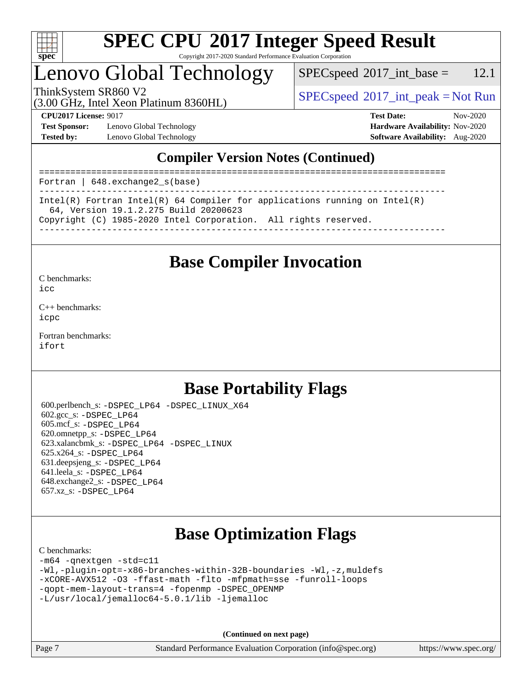

### Lenovo Global Technology

 $SPECspeed^{\circ}2017\_int\_base = 12.1$  $SPECspeed^{\circ}2017\_int\_base = 12.1$ 

(3.00 GHz, Intel Xeon Platinum 8360HL)

ThinkSystem SR860 V2  $\begin{array}{c} \text{SPEC speed} \textdegree 2017\_int\_peak = Not Run \end{array}$ 

**[Test Sponsor:](http://www.spec.org/auto/cpu2017/Docs/result-fields.html#TestSponsor)** Lenovo Global Technology **[Hardware Availability:](http://www.spec.org/auto/cpu2017/Docs/result-fields.html#HardwareAvailability)** Nov-2020 **[Tested by:](http://www.spec.org/auto/cpu2017/Docs/result-fields.html#Testedby)** Lenovo Global Technology **[Software Availability:](http://www.spec.org/auto/cpu2017/Docs/result-fields.html#SoftwareAvailability)** Aug-2020

**[CPU2017 License:](http://www.spec.org/auto/cpu2017/Docs/result-fields.html#CPU2017License)** 9017 **[Test Date:](http://www.spec.org/auto/cpu2017/Docs/result-fields.html#TestDate)** Nov-2020

### **[Compiler Version Notes \(Continued\)](http://www.spec.org/auto/cpu2017/Docs/result-fields.html#CompilerVersionNotes)**

============================================================================== Fortran | 648.exchange2\_s(base) ------------------------------------------------------------------------------ Intel(R) Fortran Intel(R) 64 Compiler for applications running on Intel(R) 64, Version 19.1.2.275 Build 20200623 Copyright (C) 1985-2020 Intel Corporation. All rights reserved. ------------------------------------------------------------------------------

### **[Base Compiler Invocation](http://www.spec.org/auto/cpu2017/Docs/result-fields.html#BaseCompilerInvocation)**

[C benchmarks](http://www.spec.org/auto/cpu2017/Docs/result-fields.html#Cbenchmarks):

[icc](http://www.spec.org/cpu2017/results/res2020q4/cpu2017-20201123-24471.flags.html#user_CCbase_intel_icc_66fc1ee009f7361af1fbd72ca7dcefbb700085f36577c54f309893dd4ec40d12360134090235512931783d35fd58c0460139e722d5067c5574d8eaf2b3e37e92)

[C++ benchmarks:](http://www.spec.org/auto/cpu2017/Docs/result-fields.html#CXXbenchmarks) [icpc](http://www.spec.org/cpu2017/results/res2020q4/cpu2017-20201123-24471.flags.html#user_CXXbase_intel_icpc_c510b6838c7f56d33e37e94d029a35b4a7bccf4766a728ee175e80a419847e808290a9b78be685c44ab727ea267ec2f070ec5dc83b407c0218cded6866a35d07)

[Fortran benchmarks](http://www.spec.org/auto/cpu2017/Docs/result-fields.html#Fortranbenchmarks): [ifort](http://www.spec.org/cpu2017/results/res2020q4/cpu2017-20201123-24471.flags.html#user_FCbase_intel_ifort_8111460550e3ca792625aed983ce982f94888b8b503583aa7ba2b8303487b4d8a21a13e7191a45c5fd58ff318f48f9492884d4413fa793fd88dd292cad7027ca)

### **[Base Portability Flags](http://www.spec.org/auto/cpu2017/Docs/result-fields.html#BasePortabilityFlags)**

 600.perlbench\_s: [-DSPEC\\_LP64](http://www.spec.org/cpu2017/results/res2020q4/cpu2017-20201123-24471.flags.html#b600.perlbench_s_basePORTABILITY_DSPEC_LP64) [-DSPEC\\_LINUX\\_X64](http://www.spec.org/cpu2017/results/res2020q4/cpu2017-20201123-24471.flags.html#b600.perlbench_s_baseCPORTABILITY_DSPEC_LINUX_X64) 602.gcc\_s: [-DSPEC\\_LP64](http://www.spec.org/cpu2017/results/res2020q4/cpu2017-20201123-24471.flags.html#suite_basePORTABILITY602_gcc_s_DSPEC_LP64) 605.mcf\_s: [-DSPEC\\_LP64](http://www.spec.org/cpu2017/results/res2020q4/cpu2017-20201123-24471.flags.html#suite_basePORTABILITY605_mcf_s_DSPEC_LP64) 620.omnetpp\_s: [-DSPEC\\_LP64](http://www.spec.org/cpu2017/results/res2020q4/cpu2017-20201123-24471.flags.html#suite_basePORTABILITY620_omnetpp_s_DSPEC_LP64) 623.xalancbmk\_s: [-DSPEC\\_LP64](http://www.spec.org/cpu2017/results/res2020q4/cpu2017-20201123-24471.flags.html#suite_basePORTABILITY623_xalancbmk_s_DSPEC_LP64) [-DSPEC\\_LINUX](http://www.spec.org/cpu2017/results/res2020q4/cpu2017-20201123-24471.flags.html#b623.xalancbmk_s_baseCXXPORTABILITY_DSPEC_LINUX) 625.x264\_s: [-DSPEC\\_LP64](http://www.spec.org/cpu2017/results/res2020q4/cpu2017-20201123-24471.flags.html#suite_basePORTABILITY625_x264_s_DSPEC_LP64) 631.deepsjeng\_s: [-DSPEC\\_LP64](http://www.spec.org/cpu2017/results/res2020q4/cpu2017-20201123-24471.flags.html#suite_basePORTABILITY631_deepsjeng_s_DSPEC_LP64) 641.leela\_s: [-DSPEC\\_LP64](http://www.spec.org/cpu2017/results/res2020q4/cpu2017-20201123-24471.flags.html#suite_basePORTABILITY641_leela_s_DSPEC_LP64) 648.exchange2\_s: [-DSPEC\\_LP64](http://www.spec.org/cpu2017/results/res2020q4/cpu2017-20201123-24471.flags.html#suite_basePORTABILITY648_exchange2_s_DSPEC_LP64) 657.xz\_s: [-DSPEC\\_LP64](http://www.spec.org/cpu2017/results/res2020q4/cpu2017-20201123-24471.flags.html#suite_basePORTABILITY657_xz_s_DSPEC_LP64)

### **[Base Optimization Flags](http://www.spec.org/auto/cpu2017/Docs/result-fields.html#BaseOptimizationFlags)**

#### [C benchmarks](http://www.spec.org/auto/cpu2017/Docs/result-fields.html#Cbenchmarks):

```
-m64 -qnextgen -std=c11
-Wl,-plugin-opt=-x86-branches-within-32B-boundaries -Wl,-z,muldefs
-xCORE-AVX512 -O3 -ffast-math -flto -mfpmath=sse -funroll-loops
-qopt-mem-layout-trans=4 -fopenmp -DSPEC_OPENMP
-L/usr/local/jemalloc64-5.0.1/lib -ljemalloc
```
**(Continued on next page)**

Page 7 Standard Performance Evaluation Corporation [\(info@spec.org\)](mailto:info@spec.org) <https://www.spec.org/>